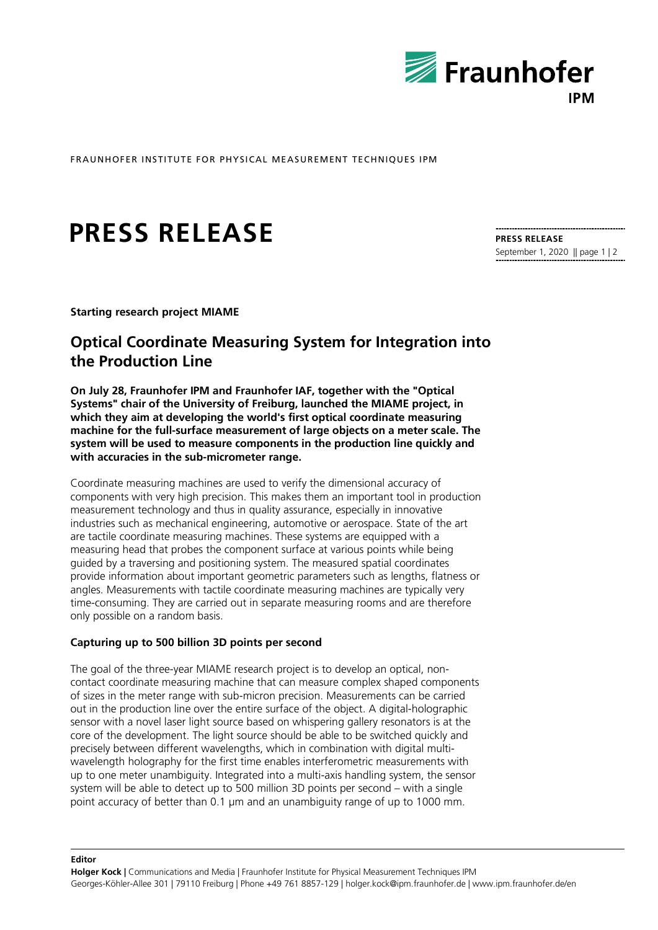

FRAUNHOFER INSTITUTE FOR PHYSICAL MEASUREMENT TECHNIQUES IPM

# **PRESS RELEASE**

**PRESS RELEASE** September 1, 2020 || page 1 | 2

**Starting research project MIAME**

# **Optical Coordinate Measuring System for Integration into the Production Line**

**On July 28, Fraunhofer IPM and Fraunhofer IAF, together with the "Optical Systems" chair of the University of Freiburg, launched the MIAME project, in which they aim at developing the world's first optical coordinate measuring machine for the full-surface measurement of large objects on a meter scale. The system will be used to measure components in the production line quickly and with accuracies in the sub-micrometer range.**

Coordinate measuring machines are used to verify the dimensional accuracy of components with very high precision. This makes them an important tool in production measurement technology and thus in quality assurance, especially in innovative industries such as mechanical engineering, automotive or aerospace. State of the art are tactile coordinate measuring machines. These systems are equipped with a measuring head that probes the component surface at various points while being guided by a traversing and positioning system. The measured spatial coordinates provide information about important geometric parameters such as lengths, flatness or angles. Measurements with tactile coordinate measuring machines are typically very time-consuming. They are carried out in separate measuring rooms and are therefore only possible on a random basis.

## **Capturing up to 500 billion 3D points per second**

**Editor**

The goal of the three-year MIAME research project is to develop an optical, noncontact coordinate measuring machine that can measure complex shaped components of sizes in the meter range with sub-micron precision. Measurements can be carried out in the production line over the entire surface of the object. A digital-holographic sensor with a novel laser light source based on whispering gallery resonators is at the core of the development. The light source should be able to be switched quickly and precisely between different wavelengths, which in combination with digital multiwavelength holography for the first time enables interferometric measurements with up to one meter unambiguity. Integrated into a multi-axis handling system, the sensor system will be able to detect up to 500 million 3D points per second – with a single point accuracy of better than 0.1 µm and an unambiguity range of up to 1000 mm.

**Holger Kock |** Communications and Media | Fraunhofer Institute for Physical Measurement Techniques IPM Georges-Köhler-Allee 301 | 79110 Freiburg | Phone +49 761 8857-129 | holger.kock@ipm.fraunhofer.de | www.ipm.fraunhofer.de/en